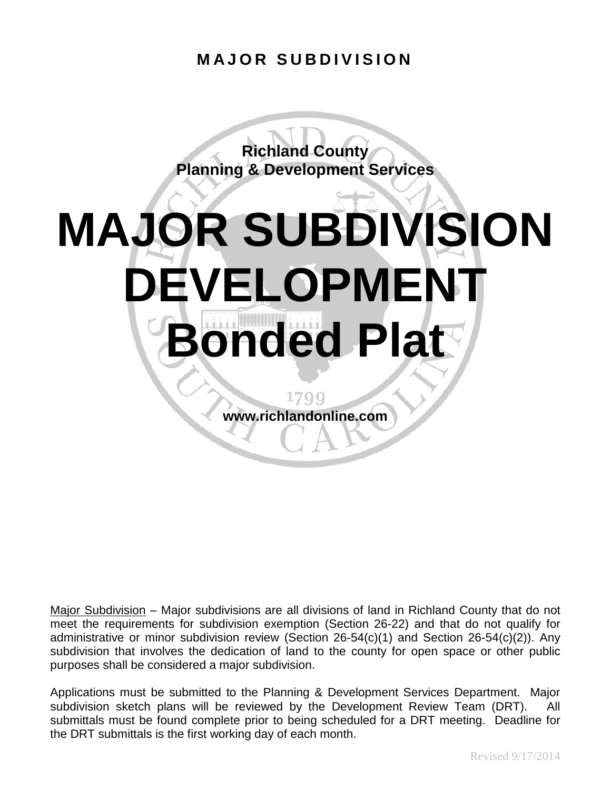#### **MAJOR SUBDIVISION**

**Richland County Planning & Development Services**

# **MAJOR SUBDIVISION DEVELOPMENT Bonded Plat**

1799 **www.richlandonline.com**

Major Subdivision – Major subdivisions are all divisions of land in Richland County that do not meet the requirements for subdivision exemption (Section 26-22) and that do not qualify for administrative or minor subdivision review (Section 26-54(c)(1) and Section 26-54(c)(2)). Any subdivision that involves the dedication of land to the county for open space or other public purposes shall be considered a major subdivision.

Applications must be submitted to the Planning & Development Services Department. Major subdivision sketch plans will be reviewed by the Development Review Team (DRT). All submittals must be found complete prior to being scheduled for a DRT meeting. Deadline for the DRT submittals is the first working day of each month.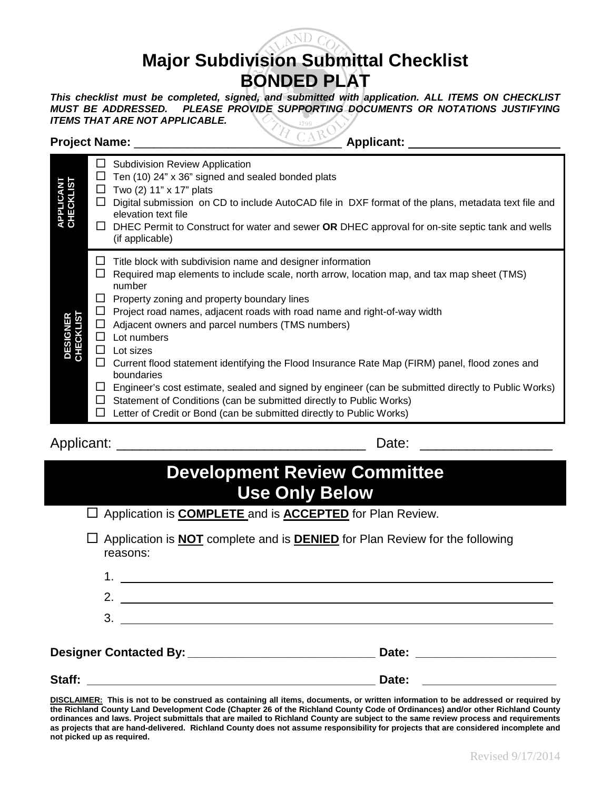

### **Major Subdivision Submittal Checklist BONDED PLAT**

*This checklist must be completed, signed, and submitted with application. ALL ITEMS ON CHECKLIST MUST BE ADDRESSED.* PLEASE PROVIDE SUPPORTING DOCUMENTS OR NOTATIONS JUSTIFYING ITEMS THAT ARE NOT APPLICABLE.<br>ITEMS THAT ARE NOT APPLICABLE.<br>The close Name: Applicant: Applicant: Applicant: Applicant: Applicant: Applica *ITEMS THAT ARE NOT APPLICABLE.*

#### **Project Name:** \_\_\_\_\_\_\_\_\_\_\_\_\_\_\_\_\_\_\_\_\_\_\_\_\_\_\_\_\_\_\_ **Applicant:**

|  |  | Applicant |
|--|--|-----------|

| <b>APPLUGANI</b><br>CHECKLIST                                                                                                                                                                                                                                                                                                                                                                                                                                                                                                                                                 | ப<br>$\Box$                               | <b>Subdivision Review Application</b><br>Ten (10) 24" x 36" signed and sealed bonded plats<br>Two (2) 11" x 17" plats<br>$\Box$ Digital submission on CD to include AutoCAD file in DXF format of the plans, metadata text file and<br>elevation text file<br>$\Box$ DHEC Permit to Construct for water and sewer OR DHEC approval for on-site septic tank and wells<br>(if applicable)                                                                                                                                                                                                                                                                                                                                                                                         |  |  |  |
|-------------------------------------------------------------------------------------------------------------------------------------------------------------------------------------------------------------------------------------------------------------------------------------------------------------------------------------------------------------------------------------------------------------------------------------------------------------------------------------------------------------------------------------------------------------------------------|-------------------------------------------|---------------------------------------------------------------------------------------------------------------------------------------------------------------------------------------------------------------------------------------------------------------------------------------------------------------------------------------------------------------------------------------------------------------------------------------------------------------------------------------------------------------------------------------------------------------------------------------------------------------------------------------------------------------------------------------------------------------------------------------------------------------------------------|--|--|--|
| DESIGNER<br>CHECKLIST                                                                                                                                                                                                                                                                                                                                                                                                                                                                                                                                                         | ப<br>$\Box$<br>ப<br>□<br>□<br>$\Box$<br>ப | Title block with subdivision name and designer information<br>Required map elements to include scale, north arrow, location map, and tax map sheet (TMS)<br>number<br>Property zoning and property boundary lines<br>$\Box$ Project road names, adjacent roads with road name and right-of-way width<br>Adjacent owners and parcel numbers (TMS numbers)<br>Lot numbers<br>$\Box$ Lot sizes<br>Current flood statement identifying the Flood Insurance Rate Map (FIRM) panel, flood zones and<br>boundaries<br>$\Box$ Engineer's cost estimate, sealed and signed by engineer (can be submitted directly to Public Works)<br>$\Box$ Statement of Conditions (can be submitted directly to Public Works)<br>Letter of Credit or Bond (can be submitted directly to Public Works) |  |  |  |
| Date:<br>Applicant:                                                                                                                                                                                                                                                                                                                                                                                                                                                                                                                                                           |                                           |                                                                                                                                                                                                                                                                                                                                                                                                                                                                                                                                                                                                                                                                                                                                                                                 |  |  |  |
| <b>Development Review Committee</b><br><b>Use Only Below</b>                                                                                                                                                                                                                                                                                                                                                                                                                                                                                                                  |                                           |                                                                                                                                                                                                                                                                                                                                                                                                                                                                                                                                                                                                                                                                                                                                                                                 |  |  |  |
|                                                                                                                                                                                                                                                                                                                                                                                                                                                                                                                                                                               |                                           | Application is <b>COMPLETE</b> and is <b>ACCEPTED</b> for Plan Review.                                                                                                                                                                                                                                                                                                                                                                                                                                                                                                                                                                                                                                                                                                          |  |  |  |
|                                                                                                                                                                                                                                                                                                                                                                                                                                                                                                                                                                               | 1<br>2.<br>3.                             | Application is <b>NOT</b> complete and is <b>DENIED</b> for Plan Review for the following<br>reasons:                                                                                                                                                                                                                                                                                                                                                                                                                                                                                                                                                                                                                                                                           |  |  |  |
|                                                                                                                                                                                                                                                                                                                                                                                                                                                                                                                                                                               |                                           |                                                                                                                                                                                                                                                                                                                                                                                                                                                                                                                                                                                                                                                                                                                                                                                 |  |  |  |
| Staff:                                                                                                                                                                                                                                                                                                                                                                                                                                                                                                                                                                        |                                           | Date:<br><u> 1999 - Johann Harry Harry Harry Harry Harry Harry Harry Harry Harry Harry Harry Harry Harry Harry Harry Harry</u>                                                                                                                                                                                                                                                                                                                                                                                                                                                                                                                                                                                                                                                  |  |  |  |
| DISCLAIMER: This is not to be construed as containing all items, documents, or written information to be addressed or required by<br>the Richland County Land Development Code (Chapter 26 of the Richland County Code of Ordinances) and/or other Richland County<br>ordinances and laws. Project submittals that are mailed to Richland County are subject to the same review process and requirements<br>as projects that are hand-delivered. Richland County does not assume responsibility for projects that are considered incomplete and<br>not picked up as required. |                                           |                                                                                                                                                                                                                                                                                                                                                                                                                                                                                                                                                                                                                                                                                                                                                                                 |  |  |  |

# **Development Review Committee Use Only Below** Application is **COMPLETE** and is **ACCEPTED** for Plan Review. Application is **NOT** complete and is **DENIED** for Plan Review for the following reasons: 1. 2. 3. **Designer Contacted By: \_\_\_\_\_\_\_\_\_\_\_\_\_\_\_\_\_\_\_\_\_\_\_\_\_\_\_\_ Date: \_\_\_\_\_\_\_\_\_\_\_\_\_\_\_\_\_\_\_\_\_** Staff: **Contained Act 2012 Contained Act 2012 Contained Act 2013 Contained Act 2013**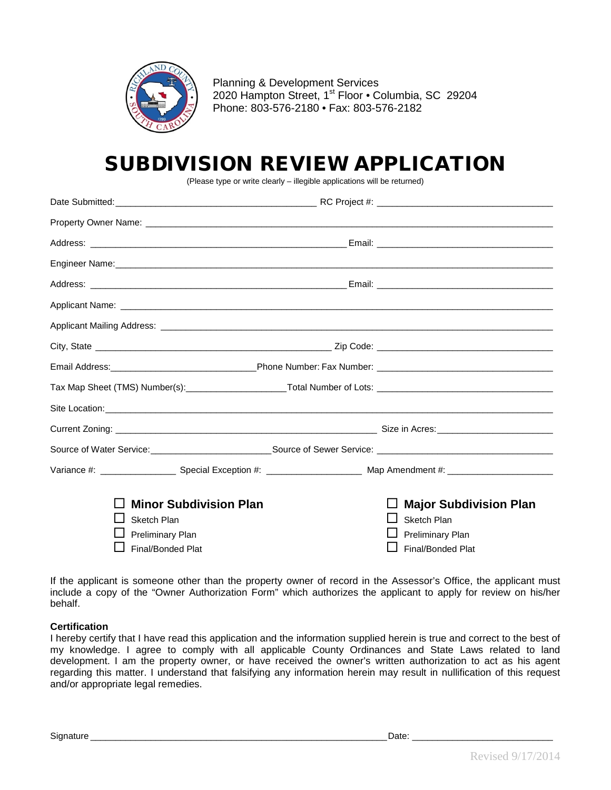

Planning & Development Services 2020 Hampton Street, 1<sup>st</sup> Floor · Columbia, SC 29204 Phone: 803-576-2180 • Fax: 803-576-2182

## SUBDIVISION REVIEW APPLICATION

(Please type or write clearly – illegible applications will be returned)

| Tax Map Sheet (TMS) Number(s): ______________________Total Number of Lots: ___________________________________ |  |                               |
|----------------------------------------------------------------------------------------------------------------|--|-------------------------------|
|                                                                                                                |  |                               |
|                                                                                                                |  |                               |
|                                                                                                                |  |                               |
|                                                                                                                |  |                               |
|                                                                                                                |  |                               |
| <b>Minor Subdivision Plan</b>                                                                                  |  | <b>Major Subdivision Plan</b> |
| Sketch Plan                                                                                                    |  | <b>Sketch Plan</b>            |
| <b>Preliminary Plan</b>                                                                                        |  | <b>Preliminary Plan</b>       |
| Final/Bonded Plat                                                                                              |  | Final/Bonded Plat             |

If the applicant is someone other than the property owner of record in the Assessor's Office, the applicant must include a copy of the "Owner Authorization Form" which authorizes the applicant to apply for review on his/her behalf.

#### **Certification**

I hereby certify that I have read this application and the information supplied herein is true and correct to the best of my knowledge. I agree to comply with all applicable County Ordinances and State Laws related to land development. I am the property owner, or have received the owner's written authorization to act as his agent regarding this matter. I understand that falsifying any information herein may result in nullification of this request and/or appropriate legal remedies.